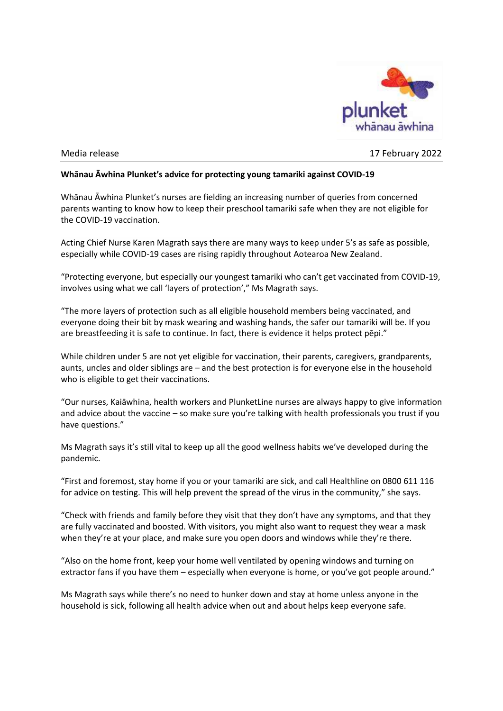

Media release 17 February 2022

## **Whānau Āwhina Plunket's advice for protecting young tamariki against COVID-19**

Whānau Āwhina Plunket's nurses are fielding an increasing number of queries from concerned parents wanting to know how to keep their preschool tamariki safe when they are not eligible for the COVID-19 vaccination.

Acting Chief Nurse Karen Magrath says there are many ways to keep under 5's as safe as possible, especially while COVID-19 cases are rising rapidly throughout Aotearoa New Zealand.

"Protecting everyone, but especially our youngest tamariki who can't get vaccinated from COVID-19, involves using what we call 'layers of protection'," Ms Magrath says.

"The more layers of protection such as all eligible household members being vaccinated, and everyone doing their bit by mask wearing and washing hands, the safer our tamariki will be. If you are breastfeeding it is safe to continue. In fact, there is evidence it helps protect pēpi."

While children under 5 are not yet eligible for vaccination, their parents, caregivers, grandparents, aunts, uncles and older siblings are – and the best protection is for everyone else in the household who is eligible to get their vaccinations.

"Our nurses, Kaiāwhina, health workers and PlunketLine nurses are always happy to give information and advice about the vaccine – so make sure you're talking with health professionals you trust if you have questions."

Ms Magrath says it's still vital to keep up all the good wellness habits we've developed during the pandemic.

"First and foremost, stay home if you or your tamariki are sick, and call Healthline on 0800 611 116 for advice on testing. This will help prevent the spread of the virus in the community," she says.

"Check with friends and family before they visit that they don't have any symptoms, and that they are fully vaccinated and boosted. With visitors, you might also want to request they wear a mask when they're at your place, and make sure you open doors and windows while they're there.

"Also on the home front, keep your home well ventilated by opening windows and turning on extractor fans if you have them – especially when everyone is home, or you've got people around."

Ms Magrath says while there's no need to hunker down and stay at home unless anyone in the household is sick, following all health advice when out and about helps keep everyone safe.